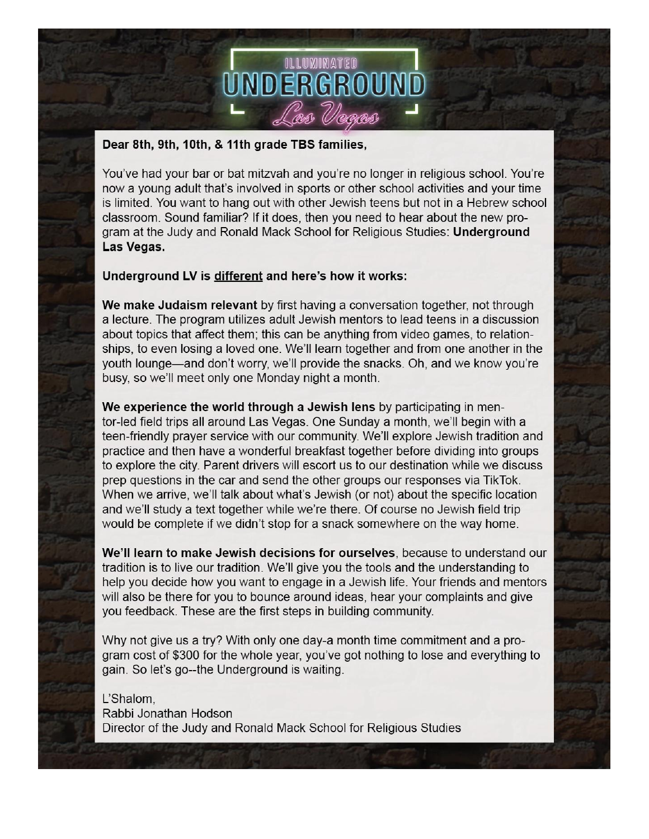

#### Dear 8th, 9th, 10th, & 11th grade TBS families,

You've had your bar or bat mitzvah and you're no longer in religious school. You're now a young adult that's involved in sports or other school activities and your time is limited. You want to hang out with other Jewish teens but not in a Hebrew school classroom. Sound familiar? If it does, then you need to hear about the new program at the Judy and Ronald Mack School for Religious Studies: Underground Las Vegas.

#### Underground LV is different and here's how it works:

We make Judaism relevant by first having a conversation together, not through a lecture. The program utilizes adult Jewish mentors to lead teens in a discussion about topics that affect them; this can be anything from video games, to relationships, to even losing a loved one. We'll learn together and from one another in the youth lounge—and don't worry, we'll provide the snacks. Oh, and we know you're busy, so we'll meet only one Monday night a month.

We experience the world through a Jewish lens by participating in mentor-led field trips all around Las Vegas. One Sunday a month, we'll begin with a teen-friendly prayer service with our community. We'll explore Jewish tradition and practice and then have a wonderful breakfast together before dividing into groups to explore the city. Parent drivers will escort us to our destination while we discuss prep questions in the car and send the other groups our responses via TikTok. When we arrive, we'll talk about what's Jewish (or not) about the specific location and we'll study a text together while we're there. Of course no Jewish field trip would be complete if we didn't stop for a snack somewhere on the way home.

We'll learn to make Jewish decisions for ourselves, because to understand our tradition is to live our tradition. We'll give you the tools and the understanding to help you decide how you want to engage in a Jewish life. Your friends and mentors will also be there for you to bounce around ideas, hear your complaints and give you feedback. These are the first steps in building community.

Why not give us a try? With only one day-a month time commitment and a program cost of \$300 for the whole year, you've got nothing to lose and everything to gain. So let's go--the Underground is waiting.

L'Shalom, Rabbi Jonathan Hodson Director of the Judy and Ronald Mack School for Religious Studies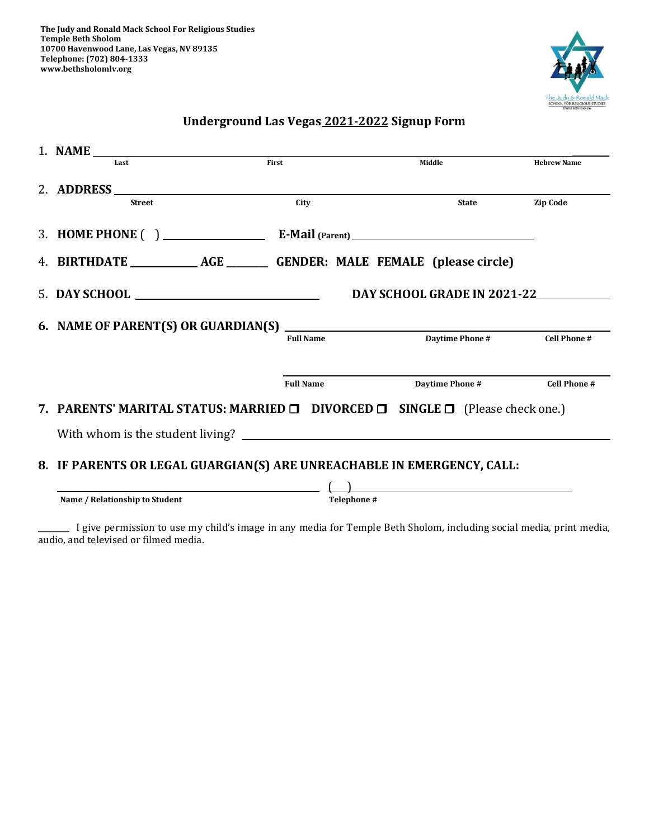

#### **Underground Las Vegas 2021-2022 Signup Form**

| Last                                                                                               | First            | Middle                 | <b>Hebrew Name</b>  |  |
|----------------------------------------------------------------------------------------------------|------------------|------------------------|---------------------|--|
| 2. ADDRESS                                                                                         |                  |                        |                     |  |
| <b>Street</b>                                                                                      | City             | <b>State</b>           | <b>Zip Code</b>     |  |
|                                                                                                    |                  |                        |                     |  |
|                                                                                                    |                  |                        |                     |  |
| DAY SCHOOL GRADE IN 2021-22                                                                        |                  |                        |                     |  |
|                                                                                                    |                  |                        |                     |  |
|                                                                                                    | <b>Full Name</b> | <b>Daytime Phone #</b> | <b>Cell Phone #</b> |  |
|                                                                                                    | <b>Full Name</b> | Daytime Phone #        | <b>Cell Phone #</b> |  |
| 7. PARENTS' MARITAL STATUS: MARRIED <b>D</b> DIVORCED <b>D</b> SINGLE <b>D</b> (Please check one.) |                  |                        |                     |  |
|                                                                                                    |                  |                        |                     |  |
| 8. IF PARENTS OR LEGAL GUARGIAN(S) ARE UNREACHABLE IN EMERGENCY, CALL:                             |                  |                        |                     |  |
|                                                                                                    |                  |                        |                     |  |
| Name / Relationship to Student                                                                     | Telephone #      |                        |                     |  |

\_\_\_\_\_\_\_\_ I give permission to use my child's image in any media for Temple Beth Sholom, including social media, print media, audio, and televised or filmed media.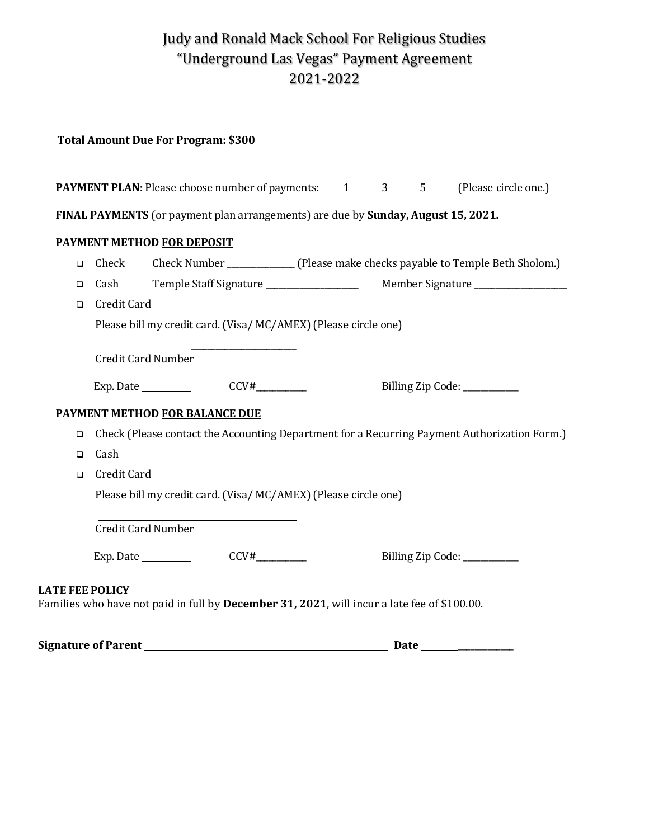## Judy and Ronald Mack School For Religious Studies "Underground Las Vegas" Payment Agreement 2021-2022

#### **Total Amount Due For Program: \$300**

| <b>PAYMENT PLAN:</b> Please choose number of payments: 1<br>3<br>(Please circle one.)<br>5 |                                                                                              |                                |                                                                                             |  |  |  |  |                             |
|--------------------------------------------------------------------------------------------|----------------------------------------------------------------------------------------------|--------------------------------|---------------------------------------------------------------------------------------------|--|--|--|--|-----------------------------|
| FINAL PAYMENTS (or payment plan arrangements) are due by Sunday, August 15, 2021.          |                                                                                              |                                |                                                                                             |  |  |  |  |                             |
|                                                                                            |                                                                                              | PAYMENT METHOD FOR DEPOSIT     |                                                                                             |  |  |  |  |                             |
| $\Box$                                                                                     | Check                                                                                        |                                |                                                                                             |  |  |  |  |                             |
| $\Box$                                                                                     | Cash                                                                                         |                                |                                                                                             |  |  |  |  |                             |
| $\Box$                                                                                     | Credit Card                                                                                  |                                |                                                                                             |  |  |  |  |                             |
|                                                                                            | Please bill my credit card. (Visa/MC/AMEX) (Please circle one)                               |                                |                                                                                             |  |  |  |  |                             |
|                                                                                            |                                                                                              |                                |                                                                                             |  |  |  |  |                             |
|                                                                                            | <b>Credit Card Number</b>                                                                    |                                |                                                                                             |  |  |  |  |                             |
|                                                                                            |                                                                                              |                                | Exp. Date $\_\_\_\_\_\_\_\_\_\_\_\_\_\_\_\_\_\_\_\_\_\_\_\_\_\_\_\_$                        |  |  |  |  | Billing Zip Code: _________ |
|                                                                                            |                                                                                              | PAYMENT METHOD FOR BALANCE DUE |                                                                                             |  |  |  |  |                             |
| $\Box$                                                                                     | Check (Please contact the Accounting Department for a Recurring Payment Authorization Form.) |                                |                                                                                             |  |  |  |  |                             |
| $\Box$                                                                                     | Cash                                                                                         |                                |                                                                                             |  |  |  |  |                             |
| $\Box$                                                                                     | Credit Card                                                                                  |                                |                                                                                             |  |  |  |  |                             |
|                                                                                            | Please bill my credit card. (Visa/MC/AMEX) (Please circle one)                               |                                |                                                                                             |  |  |  |  |                             |
|                                                                                            | <b>Credit Card Number</b>                                                                    |                                |                                                                                             |  |  |  |  |                             |
|                                                                                            |                                                                                              |                                |                                                                                             |  |  |  |  | Billing Zip Code: ________  |
| <b>LATE FEE POLICY</b>                                                                     |                                                                                              |                                | Families who have not paid in full by December 31, 2021, will incur a late fee of \$100.00. |  |  |  |  |                             |

**Signature of Parent Date** \_\_\_\_\_\_\_\_\_\_\_\_\_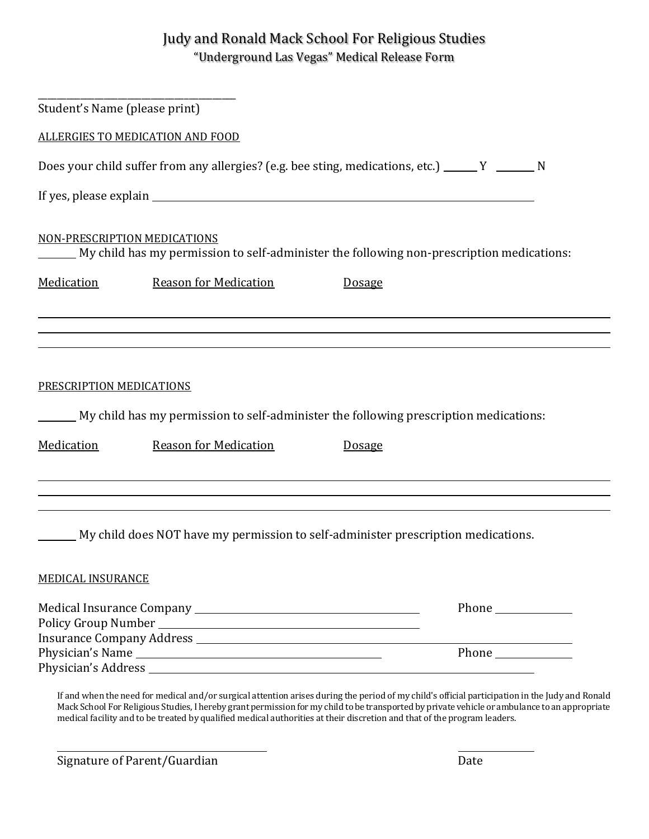### Judy and Ronald Mack School For Religious Studies "Underground Las Vegas" Medical Release Form

| Student's Name (please print)                                                                                                        |                              |                                                                                                        |  |  |                              |                              |                                                                                           |
|--------------------------------------------------------------------------------------------------------------------------------------|------------------------------|--------------------------------------------------------------------------------------------------------|--|--|------------------------------|------------------------------|-------------------------------------------------------------------------------------------|
| ALLERGIES TO MEDICATION AND FOOD<br>Does your child suffer from any allergies? (e.g. bee sting, medications, etc.) ______ Y ______ N |                              |                                                                                                        |  |  |                              |                              |                                                                                           |
|                                                                                                                                      |                              |                                                                                                        |  |  | NON-PRESCRIPTION MEDICATIONS |                              | My child has my permission to self-administer the following non-prescription medications: |
|                                                                                                                                      |                              |                                                                                                        |  |  | Medication                   | <b>Reason for Medication</b> | <b>Dosage</b>                                                                             |
| PRESCRIPTION MEDICATIONS<br>Medication                                                                                               | <b>Reason for Medication</b> | My child has my permission to self-administer the following prescription medications:<br><b>Dosage</b> |  |  |                              |                              |                                                                                           |
| <b>MEDICAL INSURANCE</b>                                                                                                             |                              | My child does NOT have my permission to self-administer prescription medications.                      |  |  |                              |                              |                                                                                           |
|                                                                                                                                      |                              |                                                                                                        |  |  |                              |                              |                                                                                           |
|                                                                                                                                      |                              |                                                                                                        |  |  |                              |                              |                                                                                           |

If and when the need for medical and/or surgical attention arises during the period of my child's official participation in the Judy and Ronald Mack School For Religious Studies, I hereby grant permission for my child to be transported by private vehicle or ambulance to an appropriate medical facility and to be treated by qualified medical authorities at their discretion and that of the program leaders.

Signature of Parent/Guardian Date by Contraction of Parent Contraction Date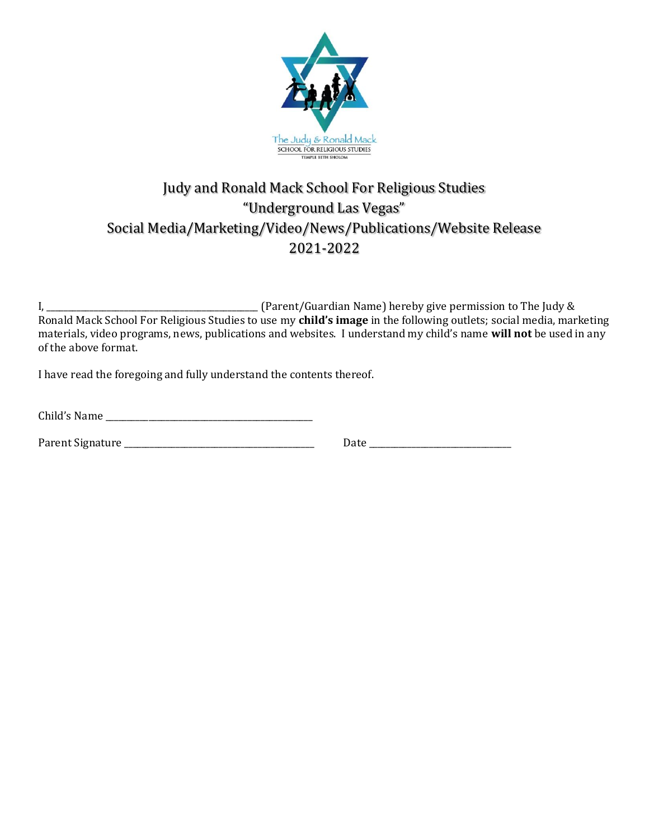

## Judy and Ronald Mack School For Religious Studies "Underground Las Vegas" Social Media/Marketing/Video/News/Publications/Website Release 2021-2022

I, \_\_\_\_\_\_\_\_\_\_\_\_\_\_\_\_\_\_\_\_\_\_\_\_\_\_\_\_\_\_\_\_\_\_\_\_\_\_\_\_\_\_\_\_\_\_\_\_\_ (Parent/Guardian Name) hereby give permission to The Judy & Ronald Mack School For Religious Studies to use my **child's image** in the following outlets; social media, marketing materials, video programs, news, publications and websites. I understand my child's name **will not** be used in any of the above format.

I have read the foregoing and fully understand the contents thereof.

| Child's Name |  |  |
|--------------|--|--|
|--------------|--|--|

| Parent Signature |  |
|------------------|--|
|------------------|--|

Date  $\Box$